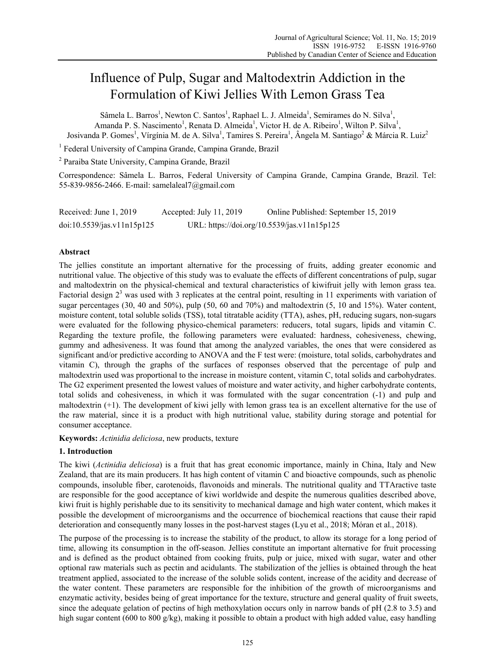# Influence of Pulp, Sugar and Maltodextrin Addiction in the Formulation of Kiwi Jellies With Lemon Grass Tea

Sâmela L. Barros<sup>1</sup>, Newton C. Santos<sup>1</sup>, Raphael L. J. Almeida<sup>1</sup>, Semirames do N. Silva<sup>1</sup>, Amanda P. S. Nascimento<sup>1</sup>, Renata D. Almeida<sup>1</sup>, Victor H. de A. Ribeiro<sup>1</sup>, Wilton P. Silva<sup>1</sup>, Josivanda P. Gomes<sup>1</sup>, Vírgínia M. de A. Silva<sup>1</sup>, Tamires S. Pereira<sup>1</sup>, Ângela M. Santiago<sup>2</sup> & Márcia R. Luiz<sup>2</sup>

<sup>1</sup> Federal University of Campina Grande, Campina Grande, Brazil

2 Paraiba State University, Campina Grande, Brazil

Correspondence: Sâmela L. Barros, Federal University of Campina Grande, Campina Grande, Brazil. Tel: 55-839-9856-2466. E-mail: samelaleal7@gmail.com

| Received: June 1, 2019     | Accepted: July 11, 2019 | Online Published: September 15, 2019        |
|----------------------------|-------------------------|---------------------------------------------|
| doi:10.5539/jas.v11n15p125 |                         | URL: https://doi.org/10.5539/jas.v11n15p125 |

## **Abstract**

The jellies constitute an important alternative for the processing of fruits, adding greater economic and nutritional value. The objective of this study was to evaluate the effects of different concentrations of pulp, sugar and maltodextrin on the physical-chemical and textural characteristics of kiwifruit jelly with lemon grass tea. Factorial design  $2<sup>3</sup>$  was used with 3 replicates at the central point, resulting in 11 experiments with variation of sugar percentages (30, 40 and 50%), pulp (50, 60 and 70%) and maltodextrin (5, 10 and 15%). Water content, moisture content, total soluble solids (TSS), total titratable acidity (TTA), ashes, pH, reducing sugars, non-sugars were evaluated for the following physico-chemical parameters: reducers, total sugars, lipids and vitamin C. Regarding the texture profile, the following parameters were evaluated: hardness, cohesiveness, chewing, gummy and adhesiveness. It was found that among the analyzed variables, the ones that were considered as significant and/or predictive according to ANOVA and the F test were: (moisture, total solids, carbohydrates and vitamin C), through the graphs of the surfaces of responses observed that the percentage of pulp and maltodextrin used was proportional to the increase in moisture content, vitamin C, total solids and carbohydrates. The G2 experiment presented the lowest values of moisture and water activity, and higher carbohydrate contents, total solids and cohesiveness, in which it was formulated with the sugar concentration (-1) and pulp and maltodextrin (+1). The development of kiwi jelly with lemon grass tea is an excellent alternative for the use of the raw material, since it is a product with high nutritional value, stability during storage and potential for consumer acceptance.

**Keywords:** *Actinidia deliciosa*, new products, texture

## **1. Introduction**

The kiwi (*Actinidia deliciosa*) is a fruit that has great economic importance, mainly in China, Italy and New Zealand, that are its main producers. It has high content of vitamin C and bioactive compounds, such as phenolic compounds, insoluble fiber, carotenoids, flavonoids and minerals. The nutritional quality and TTAractive taste are responsible for the good acceptance of kiwi worldwide and despite the numerous qualities described above, kiwi fruit is highly perishable due to its sensitivity to mechanical damage and high water content, which makes it possible the development of microorganisms and the occurrence of biochemical reactions that cause their rapid deterioration and consequently many losses in the post-harvest stages (Lyu et al., 2018; Móran et al., 2018).

The purpose of the processing is to increase the stability of the product, to allow its storage for a long period of time, allowing its consumption in the off-season. Jellies constitute an important alternative for fruit processing and is defined as the product obtained from cooking fruits, pulp or juice, mixed with sugar, water and other optional raw materials such as pectin and acidulants. The stabilization of the jellies is obtained through the heat treatment applied, associated to the increase of the soluble solids content, increase of the acidity and decrease of the water content. These parameters are responsible for the inhibition of the growth of microorganisms and enzymatic activity, besides being of great importance for the texture, structure and general quality of fruit sweets, since the adequate gelation of pectins of high methoxylation occurs only in narrow bands of pH (2.8 to 3.5) and high sugar content (600 to 800 g/kg), making it possible to obtain a product with high added value, easy handling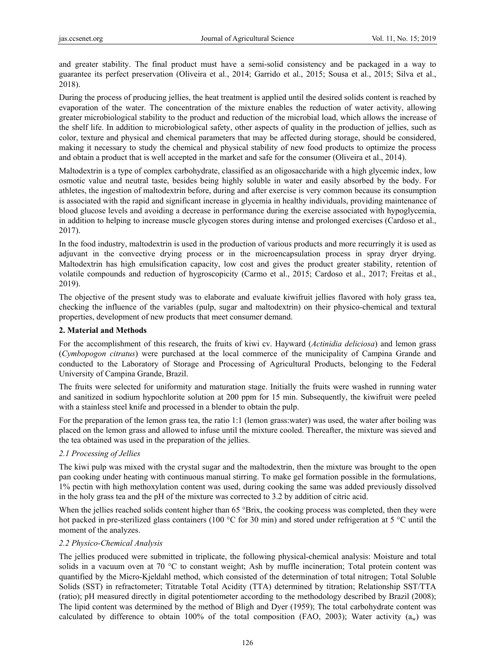and greater stability. The final product must have a semi-solid consistency and be packaged in a way to guarantee its perfect preservation (Oliveira et al., 2014; Garrido et al., 2015; Sousa et al., 2015; Silva et al., 2018).

During the process of producing jellies, the heat treatment is applied until the desired solids content is reached by evaporation of the water. The concentration of the mixture enables the reduction of water activity, allowing greater microbiological stability to the product and reduction of the microbial load, which allows the increase of the shelf life. In addition to microbiological safety, other aspects of quality in the production of jellies, such as color, texture and physical and chemical parameters that may be affected during storage, should be considered, making it necessary to study the chemical and physical stability of new food products to optimize the process and obtain a product that is well accepted in the market and safe for the consumer (Oliveira et al., 2014).

Maltodextrin is a type of complex carbohydrate, classified as an oligosaccharide with a high glycemic index, low osmotic value and neutral taste, besides being highly soluble in water and easily absorbed by the body. For athletes, the ingestion of maltodextrin before, during and after exercise is very common because its consumption is associated with the rapid and significant increase in glycemia in healthy individuals, providing maintenance of blood glucose levels and avoiding a decrease in performance during the exercise associated with hypoglycemia, in addition to helping to increase muscle glycogen stores during intense and prolonged exercises (Cardoso et al., 2017).

In the food industry, maltodextrin is used in the production of various products and more recurringly it is used as adjuvant in the convective drying process or in the microencapsulation process in spray dryer drying. Maltodextrin has high emulsification capacity, low cost and gives the product greater stability, retention of volatile compounds and reduction of hygroscopicity (Carmo et al., 2015; Cardoso et al., 2017; Freitas et al., 2019).

The objective of the present study was to elaborate and evaluate kiwifruit jellies flavored with holy grass tea, checking the influence of the variables (pulp, sugar and maltodextrin) on their physico-chemical and textural properties, development of new products that meet consumer demand.

## **2. Material and Methods**

For the accomplishment of this research, the fruits of kiwi cv. Hayward (*Actinidia deliciosa*) and lemon grass (*Cymbopogon citratus*) were purchased at the local commerce of the municipality of Campina Grande and conducted to the Laboratory of Storage and Processing of Agricultural Products, belonging to the Federal University of Campina Grande, Brazil.

The fruits were selected for uniformity and maturation stage. Initially the fruits were washed in running water and sanitized in sodium hypochlorite solution at 200 ppm for 15 min. Subsequently, the kiwifruit were peeled with a stainless steel knife and processed in a blender to obtain the pulp.

For the preparation of the lemon grass tea, the ratio 1:1 (lemon grass:water) was used, the water after boiling was placed on the lemon grass and allowed to infuse until the mixture cooled. Thereafter, the mixture was sieved and the tea obtained was used in the preparation of the jellies.

# *2.1 Processing of Jellies*

The kiwi pulp was mixed with the crystal sugar and the maltodextrin, then the mixture was brought to the open pan cooking under heating with continuous manual stirring. To make gel formation possible in the formulations, 1% pectin with high methoxylation content was used, during cooking the same was added previously dissolved in the holy grass tea and the pH of the mixture was corrected to 3.2 by addition of citric acid.

When the jellies reached solids content higher than 65 °Brix, the cooking process was completed, then they were hot packed in pre-sterilized glass containers (100 °C for 30 min) and stored under refrigeration at 5 °C until the moment of the analyzes.

## *2.2 Physico-Chemical Analysis*

The jellies produced were submitted in triplicate, the following physical-chemical analysis: Moisture and total solids in a vacuum oven at 70 °C to constant weight; Ash by muffle incineration; Total protein content was quantified by the Micro-Kjeldahl method, which consisted of the determination of total nitrogen; Total Soluble Solids (SST) in refractometer; Titratable Total Acidity (TTA) determined by titration; Relationship SST/TTA (ratio); pH measured directly in digital potentiometer according to the methodology described by Brazil (2008); The lipid content was determined by the method of Bligh and Dyer (1959); The total carbohydrate content was calculated by difference to obtain 100% of the total composition (FAO, 2003); Water activity  $(a_w)$  was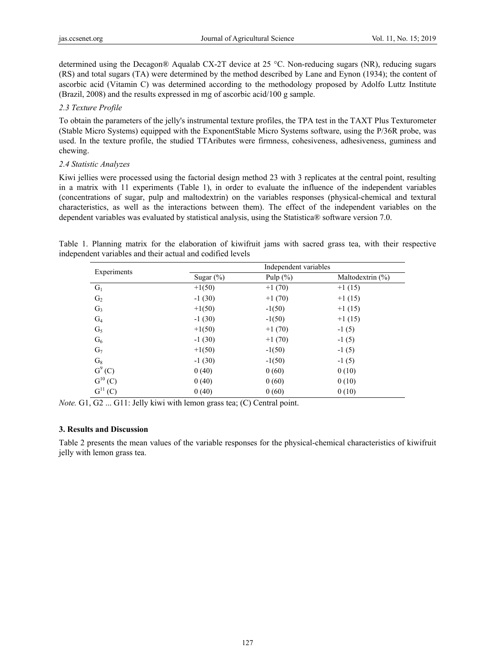determined using the Decagon® Aqualab CX-2T device at 25 °C. Non-reducing sugars (NR), reducing sugars (RS) and total sugars (TA) were determined by the method described by Lane and Eynon (1934); the content of ascorbic acid (Vitamin C) was determined according to the methodology proposed by Adolfo Luttz Institute (Brazil, 2008) and the results expressed in mg of ascorbic acid/100 g sample.

## *2.3 Texture Profile*

To obtain the parameters of the jelly's instrumental texture profiles, the TPA test in the TAXT Plus Texturometer (Stable Micro Systems) equipped with the ExponentStable Micro Systems software, using the P/36R probe, was used. In the texture profile, the studied TTAributes were firmness, cohesiveness, adhesiveness, guminess and chewing.

## *2.4 Statistic Analyzes*

Kiwi jellies were processed using the factorial design method 23 with 3 replicates at the central point, resulting in a matrix with 11 experiments (Table 1), in order to evaluate the influence of the independent variables (concentrations of sugar, pulp and maltodextrin) on the variables responses (physical-chemical and textural characteristics, as well as the interactions between them). The effect of the independent variables on the dependent variables was evaluated by statistical analysis, using the Statistica® software version 7.0.

Table 1. Planning matrix for the elaboration of kiwifruit jams with sacred grass tea, with their respective independent variables and their actual and codified levels

|                 |              | Independent variables |                      |  |  |  |
|-----------------|--------------|-----------------------|----------------------|--|--|--|
| Experiments     | Sugar $(\%)$ | Pulp $(\% )$          | Maltodextrin $(\% )$ |  |  |  |
| $G_1$           | $+1(50)$     | $+1(70)$              | $+1(15)$             |  |  |  |
| G <sub>2</sub>  | $-1(30)$     | $+1(70)$              | $+1(15)$             |  |  |  |
| G <sub>3</sub>  | $+1(50)$     | $-1(50)$              | $+1(15)$             |  |  |  |
| $G_4$           | $-1(30)$     | $-1(50)$              | $+1(15)$             |  |  |  |
| $G_5$           | $+1(50)$     | $+1(70)$              | $-1(5)$              |  |  |  |
| $G_6$           | $-1(30)$     | $+1(70)$              | $-1(5)$              |  |  |  |
| G <sub>7</sub>  | $+1(50)$     | $-1(50)$              | $-1(5)$              |  |  |  |
| $G_8$           | $-1(30)$     | $-1(50)$              | $-1(5)$              |  |  |  |
| $G^{9} (C)$     | 0(40)        | 0(60)                 | 0(10)                |  |  |  |
| $G^{10}(C)$     | 0(40)        | 0(60)                 | 0(10)                |  |  |  |
| $G^{11}$<br>(C) | 0(40)        | 0(60)                 | 0(10)                |  |  |  |

*Note.* G1, G2 ... G11: Jelly kiwi with lemon grass tea; (C) Central point.

# **3. Results and Discussion**

Table 2 presents the mean values of the variable responses for the physical-chemical characteristics of kiwifruit jelly with lemon grass tea.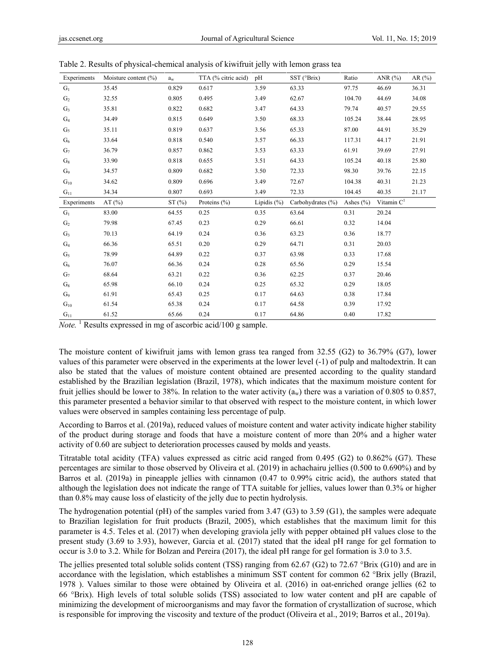| Experiments    | Moisture content $(\%)$ | $a_w$ | TTA (% citric acid) | pH              | SST (°Brix)       | Ratio         | ANR $(%)$              | AR $(\% )$ |
|----------------|-------------------------|-------|---------------------|-----------------|-------------------|---------------|------------------------|------------|
| $G_1$          | 35.45                   | 0.829 | 0.617               | 3.59            | 63.33             | 97.75         | 46.69                  | 36.31      |
| G <sub>2</sub> | 32.55                   | 0.805 | 0.495               | 3.49            | 62.67             | 104.70        | 44.69                  | 34.08      |
| $G_3$          | 35.81                   | 0.822 | 0.682               | 3.47            | 64.33             | 79.74         | 40.57                  | 29.55      |
| $G_4$          | 34.49                   | 0.815 | 0.649               | 3.50            | 68.33             | 105.24        | 38.44                  | 28.95      |
| $G_5$          | 35.11                   | 0.819 | 0.637               | 3.56            | 65.33             | 87.00         | 44.91                  | 35.29      |
| $G_6$          | 33.64                   | 0.818 | 0.540               | 3.57            | 66.33             | 117.31        | 44.17                  | 21.91      |
| G <sub>7</sub> | 36.79                   | 0.857 | 0.862               | 3.53            | 63.33             | 61.91         | 39.69                  | 27.91      |
| $G_8$          | 33.90                   | 0.818 | 0.655               | 3.51            | 64.33             | 105.24        | 40.18                  | 25.80      |
| G <sub>9</sub> | 34.57                   | 0.809 | 0.682               | 3.50            | 72.33             | 98.30         | 39.76                  | 22.15      |
| $G_{10}$       | 34.62                   | 0.809 | 0.696               | 3.49            | 72.67             | 104.38        | 40.31                  | 21.23      |
| $G_{11}$       | 34.34                   | 0.807 | 0.693               | 3.49            | 72.33             | 104.45        | 40.35                  | 21.17      |
|                |                         |       |                     |                 |                   |               |                        |            |
| Experiments    | AT $(\% )$              | ST(%) | Proteins $(\% )$    | Lipidis $(\% )$ | Carbohydrates (%) | Ashes $(\% )$ | Vitamin C <sup>1</sup> |            |
| $G_1$          | 83.00                   | 64.55 | 0.25                | 0.35            | 63.64             | 0.31          | 20.24                  |            |
| G <sub>2</sub> | 79.98                   | 67.45 | 0.23                | 0.29            | 66.61             | 0.32          | 14.04                  |            |
| G <sub>3</sub> | 70.13                   | 64.19 | 0.24                | 0.36            | 63.23             | 0.36          | 18.77                  |            |
| $G_4$          | 66.36                   | 65.51 | 0.20                | 0.29            | 64.71             | 0.31          | 20.03                  |            |
| G <sub>5</sub> | 78.99                   | 64.89 | 0.22                | 0.37            | 63.98             | 0.33          | 17.68                  |            |
| $G_6$          | 76.07                   | 66.36 | 0.24                | 0.28            | 65.56             | 0.29          | 15.54                  |            |
| G <sub>7</sub> | 68.64                   | 63.21 | 0.22                | 0.36            | 62.25             | 0.37          | 20.46                  |            |
| $G_8$          | 65.98                   | 66.10 | 0.24                | 0.25            | 65.32             | 0.29          | 18.05                  |            |
| G <sub>9</sub> | 61.91                   | 65.43 | 0.25                | 0.17            | 64.63             | 0.38          | 17.84                  |            |
| $G_{10}$       | 61.54                   | 65.38 | 0.24                | 0.17            | 64.58             | 0.39          | 17.92                  |            |

Table 2. Results of physical-chemical analysis of kiwifruit jelly with lemon grass tea

Note.<sup>1</sup> Results expressed in mg of ascorbic acid/100 g sample.

The moisture content of kiwifruit jams with lemon grass tea ranged from 32.55 (G2) to 36.79% (G7), lower values of this parameter were observed in the experiments at the lower level (-1) of pulp and maltodextrin. It can also be stated that the values of moisture content obtained are presented according to the quality standard established by the Brazilian legislation (Brazil, 1978), which indicates that the maximum moisture content for fruit jellies should be lower to 38%. In relation to the water activity  $(a_w)$  there was a variation of 0.805 to 0.857, this parameter presented a behavior similar to that observed with respect to the moisture content, in which lower values were observed in samples containing less percentage of pulp.

According to Barros et al. (2019a), reduced values of moisture content and water activity indicate higher stability of the product during storage and foods that have a moisture content of more than 20% and a higher water activity of 0.60 are subject to deterioration processes caused by molds and yeasts.

Titratable total acidity (TFA) values expressed as citric acid ranged from 0.495 (G2) to 0.862% (G7). These percentages are similar to those observed by Oliveira et al. (2019) in achachairu jellies (0.500 to 0.690%) and by Barros et al. (2019a) in pineapple jellies with cinnamon (0.47 to 0.99% citric acid), the authors stated that although the legislation does not indicate the range of TTA suitable for jellies, values lower than 0.3% or higher than 0.8% may cause loss of elasticity of the jelly due to pectin hydrolysis.

The hydrogenation potential (pH) of the samples varied from 3.47 (G3) to 3.59 (G1), the samples were adequate to Brazilian legislation for fruit products (Brazil, 2005), which establishes that the maximum limit for this parameter is 4.5. Teles et al. (2017) when developing graviola jelly with pepper obtained pH values close to the present study (3.69 to 3.93), however, Garcia et al. (2017) stated that the ideal pH range for gel formation to occur is 3.0 to 3.2. While for Bolzan and Pereira (2017), the ideal pH range for gel formation is 3.0 to 3.5.

The jellies presented total soluble solids content (TSS) ranging from 62.67 (G2) to 72.67 °Brix (G10) and are in accordance with the legislation, which establishes a minimum SST content for common 62 °Brix jelly (Brazil, 1978 ). Values similar to those were obtained by Oliveira et al. (2016) in oat-enriched orange jellies (62 to 66 °Brix). High levels of total soluble solids (TSS) associated to low water content and pH are capable of minimizing the development of microorganisms and may favor the formation of crystallization of sucrose, which is responsible for improving the viscosity and texture of the product (Oliveira et al., 2019; Barros et al., 2019a).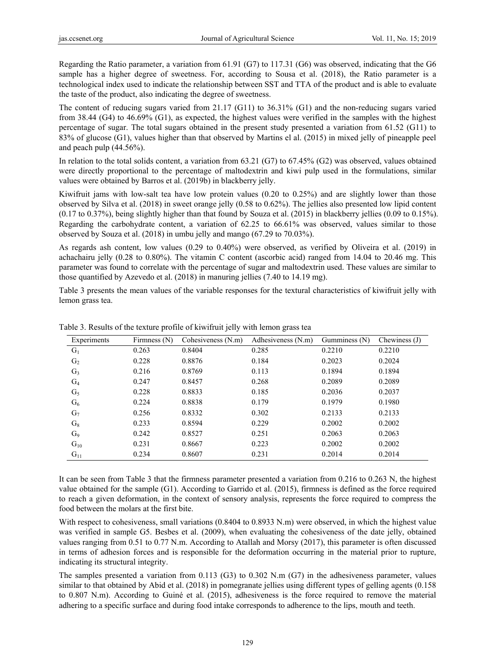Regarding the Ratio parameter, a variation from 61.91 (G7) to 117.31 (G6) was observed, indicating that the G6 sample has a higher degree of sweetness. For, according to Sousa et al. (2018), the Ratio parameter is a technological index used to indicate the relationship between SST and TTA of the product and is able to evaluate the taste of the product, also indicating the degree of sweetness.

The content of reducing sugars varied from 21.17 (G11) to 36.31% (G1) and the non-reducing sugars varied from 38.44 (G4) to 46.69% (G1), as expected, the highest values were verified in the samples with the highest percentage of sugar. The total sugars obtained in the present study presented a variation from 61.52 (G11) to 83% of glucose (G1), values higher than that observed by Martins el al. (2015) in mixed jelly of pineapple peel and peach pulp (44.56%).

In relation to the total solids content, a variation from 63.21 (G7) to 67.45% (G2) was observed, values obtained were directly proportional to the percentage of maltodextrin and kiwi pulp used in the formulations, similar values were obtained by Barros et al. (2019b) in blackberry jelly.

Kiwifruit jams with low-salt tea have low protein values (0.20 to 0.25%) and are slightly lower than those observed by Silva et al. (2018) in sweet orange jelly (0.58 to 0.62%). The jellies also presented low lipid content (0.17 to 0.37%), being slightly higher than that found by Souza et al. (2015) in blackberry jellies (0.09 to 0.15%). Regarding the carbohydrate content, a variation of 62.25 to 66.61% was observed, values similar to those observed by Souza et al. (2018) in umbu jelly and mango (67.29 to 70.03%).

As regards ash content, low values (0.29 to 0.40%) were observed, as verified by Oliveira et al. (2019) in achachairu jelly (0.28 to 0.80%). The vitamin C content (ascorbic acid) ranged from 14.04 to 20.46 mg. This parameter was found to correlate with the percentage of sugar and maltodextrin used. These values are similar to those quantified by Azevedo et al. (2018) in manuring jellies (7.40 to 14.19 mg).

Table 3 presents the mean values of the variable responses for the textural characteristics of kiwifruit jelly with lemon grass tea.

| Experiments    | Firmness $(N)$ | Cohesiveness (N.m) | Adhesiveness (N.m) | Gumminess (N) | Chewiness $(J)$ |
|----------------|----------------|--------------------|--------------------|---------------|-----------------|
| $G_1$          | 0.263          | 0.8404             | 0.285              | 0.2210        | 0.2210          |
| G <sub>2</sub> | 0.228          | 0.8876             | 0.184              | 0.2023        | 0.2024          |
| $G_3$          | 0.216          | 0.8769             | 0.113              | 0.1894        | 0.1894          |
| $G_4$          | 0.247          | 0.8457             | 0.268              | 0.2089        | 0.2089          |
| G <sub>5</sub> | 0.228          | 0.8833             | 0.185              | 0.2036        | 0.2037          |
| $G_6$          | 0.224          | 0.8838             | 0.179              | 0.1979        | 0.1980          |
| G <sub>7</sub> | 0.256          | 0.8332             | 0.302              | 0.2133        | 0.2133          |
| $G_8$          | 0.233          | 0.8594             | 0.229              | 0.2002        | 0.2002          |
| $G_9$          | 0.242          | 0.8527             | 0.251              | 0.2063        | 0.2063          |
| $G_{10}$       | 0.231          | 0.8667             | 0.223              | 0.2002        | 0.2002          |
| $G_{11}$       | 0.234          | 0.8607             | 0.231              | 0.2014        | 0.2014          |

Table 3. Results of the texture profile of kiwifruit jelly with lemon grass tea

It can be seen from Table 3 that the firmness parameter presented a variation from 0.216 to 0.263 N, the highest value obtained for the sample (G1). According to Garrido et al. (2015), firmness is defined as the force required to reach a given deformation, in the context of sensory analysis, represents the force required to compress the food between the molars at the first bite.

With respect to cohesiveness, small variations (0.8404 to 0.8933 N.m) were observed, in which the highest value was verified in sample G5. Besbes et al. (2009), when evaluating the cohesiveness of the date jelly, obtained values ranging from 0.51 to 0.77 N.m. According to Atallah and Morsy (2017), this parameter is often discussed in terms of adhesion forces and is responsible for the deformation occurring in the material prior to rupture, indicating its structural integrity.

The samples presented a variation from 0.113 (G3) to 0.302 N.m (G7) in the adhesiveness parameter, values similar to that obtained by Abid et al. (2018) in pomegranate jellies using different types of gelling agents (0.158 to 0.807 N.m). According to Guiné et al. (2015), adhesiveness is the force required to remove the material adhering to a specific surface and during food intake corresponds to adherence to the lips, mouth and teeth.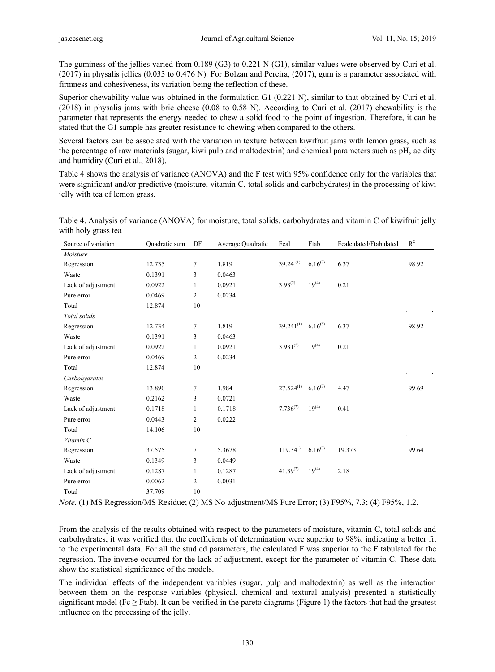The guminess of the jellies varied from 0.189 (G3) to 0.221 N (G1), similar values were observed by Curi et al. (2017) in physalis jellies (0.033 to 0.476 N). For Bolzan and Pereira, (2017), gum is a parameter associated with firmness and cohesiveness, its variation being the reflection of these.

Superior chewability value was obtained in the formulation G1 (0.221 N), similar to that obtained by Curi et al. (2018) in physalis jams with brie cheese (0.08 to 0.58 N). According to Curi et al. (2017) chewability is the parameter that represents the energy needed to chew a solid food to the point of ingestion. Therefore, it can be stated that the G1 sample has greater resistance to chewing when compared to the others.

Several factors can be associated with the variation in texture between kiwifruit jams with lemon grass, such as the percentage of raw materials (sugar, kiwi pulp and maltodextrin) and chemical parameters such as pH, acidity and humidity (Curi et al., 2018).

Table 4 shows the analysis of variance (ANOVA) and the F test with 95% confidence only for the variables that were significant and/or predictive (moisture, vitamin C, total solids and carbohydrates) in the processing of kiwi jelly with tea of lemon grass.

| Source of variation | Quadratic sum | DF             | Average Quadratic | Fcal                               | Ftab         | Fcalculated/Ftabulated | $\mathbb{R}^2$ |
|---------------------|---------------|----------------|-------------------|------------------------------------|--------------|------------------------|----------------|
| Moisture            |               |                |                   |                                    |              |                        |                |
| Regression          | 12.735        | 7              | 1.819             | $39.24$ <sup>(1)</sup>             | $6.16^{(3)}$ | 6.37                   | 98.92          |
| Waste               | 0.1391        | 3              | 0.0463            |                                    |              |                        |                |
| Lack of adjustment  | 0.0922        | 1              | 0.0921            | $3.93^{(2)}$                       | $19^{(4)}$   | 0.21                   |                |
| Pure error          | 0.0469        | $\overline{2}$ | 0.0234            |                                    |              |                        |                |
| Total               | 12.874        | 10             |                   |                                    |              |                        |                |
| Total solids        |               |                |                   |                                    |              |                        |                |
| Regression          | 12.734        | $\tau$         | 1.819             | $39.241^{(1)}$ 6.16 <sup>(3)</sup> |              | 6.37                   | 98.92          |
| Waste               | 0.1391        | 3              | 0.0463            |                                    |              |                        |                |
| Lack of adjustment  | 0.0922        | 1              | 0.0921            | $3.931^{(2)}$                      | $19^{(4)}$   | 0.21                   |                |
| Pure error          | 0.0469        | $\overline{2}$ | 0.0234            |                                    |              |                        |                |
| Total               | 12.874        | 10             |                   |                                    |              |                        |                |
| Carbohydrates       |               |                |                   |                                    |              |                        |                |
| Regression          | 13.890        | $\tau$         | 1.984             | $27.524^{(1)}$                     | $6.16^{(3)}$ | 4.47                   | 99.69          |
| Waste               | 0.2162        | 3              | 0.0721            |                                    |              |                        |                |
| Lack of adjustment  | 0.1718        | 1              | 0.1718            | $7.736^{(2)}$                      | $19^{(4)}$   | 0.41                   |                |
| Pure error          | 0.0443        | $\overline{2}$ | 0.0222            |                                    |              |                        |                |
| Total               | 14.106        | 10             |                   |                                    |              |                        |                |
| Vitamin C           |               |                |                   |                                    |              |                        |                |
| Regression          | 37.575        | $\tau$         | 5.3678            | $119.34^{1}$                       | $6.16^{(3)}$ | 19.373                 | 99.64          |
| Waste               | 0.1349        | 3              | 0.0449            |                                    |              |                        |                |
| Lack of adjustment  | 0.1287        | 1              | 0.1287            | $41.39^{(2)}$                      | $19^{(4)}$   | 2.18                   |                |
| Pure error          | 0.0062        | $\overline{2}$ | 0.0031            |                                    |              |                        |                |
| Total               | 37.709        | 10             |                   |                                    |              |                        |                |

Table 4. Analysis of variance (ANOVA) for moisture, total solids, carbohydrates and vitamin C of kiwifruit jelly with holy grass tea

*Note*. (1) MS Regression/MS Residue; (2) MS No adjustment/MS Pure Error; (3) F95%, 7.3; (4) F95%, 1.2.

From the analysis of the results obtained with respect to the parameters of moisture, vitamin C, total solids and carbohydrates, it was verified that the coefficients of determination were superior to 98%, indicating a better fit to the experimental data. For all the studied parameters, the calculated F was superior to the F tabulated for the regression. The inverse occurred for the lack of adjustment, except for the parameter of vitamin C. These data show the statistical significance of the models.

The individual effects of the independent variables (sugar, pulp and maltodextrin) as well as the interaction between them on the response variables (physical, chemical and textural analysis) presented a statistically significant model (Fc  $\geq$  Ftab). It can be verified in the pareto diagrams (Figure 1) the factors that had the greatest influence on the processing of the jelly.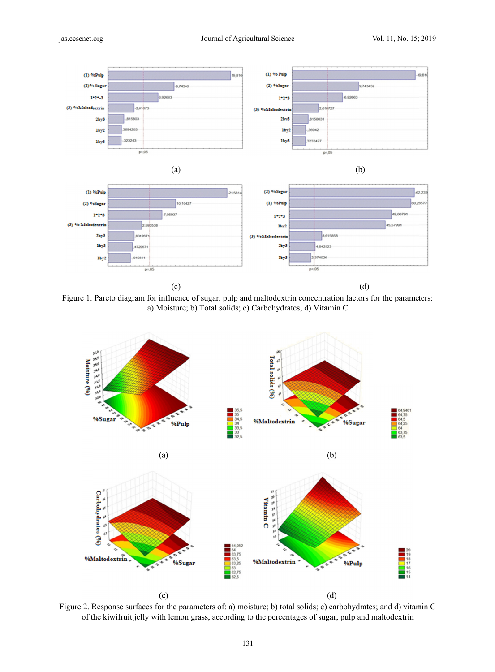



Figure 1. Pareto diagram for influence of sugar, pulp and maltodextrin concentration factors for the parameters: a) Moisture; b) Total solids; c) Carbohydrates; d) Vitamin C



Figure 2. Response surfaces for the parameters of: a) moisture; b) total solids; c) carbohydrates; and d) vitamin C of the kiwifruit jelly with lemon grass, according to the percentages of sugar, pulp and maltodextrin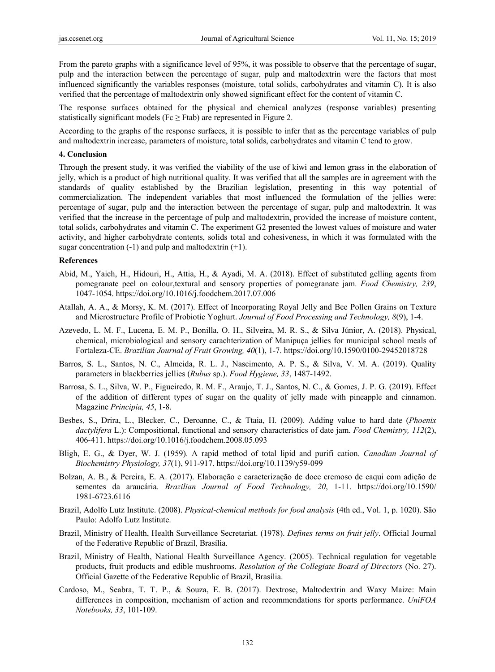From the pareto graphs with a significance level of 95%, it was possible to observe that the percentage of sugar, pulp and the interaction between the percentage of sugar, pulp and maltodextrin were the factors that most influenced significantly the variables responses (moisture, total solids, carbohydrates and vitamin C). It is also verified that the percentage of maltodextrin only showed significant effect for the content of vitamin C.

The response surfaces obtained for the physical and chemical analyzes (response variables) presenting statistically significant models ( $Fc \geq Ftab$ ) are represented in Figure 2.

According to the graphs of the response surfaces, it is possible to infer that as the percentage variables of pulp and maltodextrin increase, parameters of moisture, total solids, carbohydrates and vitamin C tend to grow.

#### **4. Conclusion**

Through the present study, it was verified the viability of the use of kiwi and lemon grass in the elaboration of jelly, which is a product of high nutritional quality. It was verified that all the samples are in agreement with the standards of quality established by the Brazilian legislation, presenting in this way potential of commercialization. The independent variables that most influenced the formulation of the jellies were: percentage of sugar, pulp and the interaction between the percentage of sugar, pulp and maltodextrin. It was verified that the increase in the percentage of pulp and maltodextrin, provided the increase of moisture content, total solids, carbohydrates and vitamin C. The experiment G2 presented the lowest values of moisture and water activity, and higher carbohydrate contents, solids total and cohesiveness, in which it was formulated with the sugar concentration  $(-1)$  and pulp and maltodextrin  $(+1)$ .

#### **References**

- Abid, M., Yaich, H., Hidouri, H., Attia, H., & Ayadi, M. A. (2018). Effect of substituted gelling agents from pomegranate peel on colour,textural and sensory properties of pomegranate jam. *Food Chemistry, 239*, 1047-1054. https://doi.org/10.1016/j.foodchem.2017.07.006
- Atallah, A. A., & Morsy, K. M. (2017). Effect of Incorporating Royal Jelly and Bee Pollen Grains on Texture and Microstructure Profile of Probiotic Yoghurt. *Journal of Food Processing and Technology, 8*(9), 1-4.
- Azevedo, L. M. F., Lucena, E. M. P., Bonilla, O. H., Silveira, M. R. S., & Silva Júnior, A. (2018). Physical, chemical, microbiological and sensory carachterization of Manipuça jellies for municipal school meals of Fortaleza-CE. *Brazilian Journal of Fruit Growing, 40*(1), 1-7. https://doi.org/10.1590/0100-29452018728
- Barros, S. L., Santos, N. C., Almeida, R. L. J., Nascimento, A. P. S., & Silva, V. M. A. (2019). Quality parameters in blackberries jellies (*Rubus* sp.). *Food Hygiene, 33*, 1487-1492.
- Barrosa, S. L., Silva, W. P., Figueiredo, R. M. F., Araujo, T. J., Santos, N. C., & Gomes, J. P. G. (2019). Effect of the addition of different types of sugar on the quality of jelly made with pineapple and cinnamon. Magazine *Principia, 45*, 1-8.
- Besbes, S., Drira, L., Blecker, C., Deroanne, C., & Ttaia, H. (2009). Adding value to hard date (*Phoenix dactylifera* L.): Compositional, functional and sensory characteristics of date jam. *Food Chemistry, 112*(2), 406-411. https://doi.org/10.1016/j.foodchem.2008.05.093
- Bligh, E. G., & Dyer, W. J. (1959). A rapid method of total lipid and purifi cation. *Canadian Journal of Biochemistry Physiology, 37*(1), 911-917. https://doi.org/10.1139/y59-099
- Bolzan, A. B., & Pereira, E. A. (2017). Elaboração e caracterização de doce cremoso de caqui com adição de sementes da araucária. *Brazilian Journal of Food Technology, 20*, 1-11. https://doi.org/10.1590/ 1981-6723.6116
- Brazil, Adolfo Lutz Institute. (2008). *Physical-chemical methods for food analysis* (4th ed., Vol. 1, p. 1020). São Paulo: Adolfo Lutz Institute.
- Brazil, Ministry of Health, Health Surveillance Secretariat. (1978). *Defines terms on fruit jelly*. Official Journal of the Federative Republic of Brazil, Brasília.
- Brazil, Ministry of Health, National Health Surveillance Agency. (2005). Technical regulation for vegetable products, fruit products and edible mushrooms. *Resolution of the Collegiate Board of Directors* (No. 27). Official Gazette of the Federative Republic of Brazil, Brasília.
- Cardoso, M., Seabra, T. T. P., & Souza, E. B. (2017). Dextrose, Maltodextrin and Waxy Maize: Main differences in composition, mechanism of action and recommendations for sports performance. *UniFOA Notebooks, 33*, 101-109.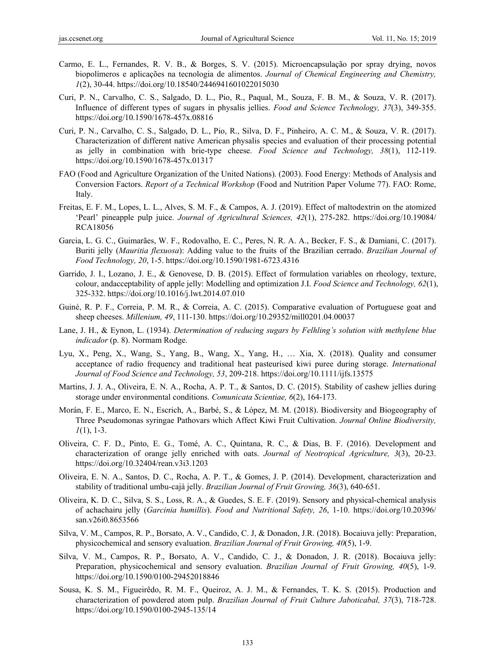- Carmo, E. L., Fernandes, R. V. B., & Borges, S. V. (2015). Microencapsulação por spray drying, novos biopolímeros e aplicações na tecnologia de alimentos. *Journal of Chemical Engineering and Chemistry, 1*(2), 30-44. https://doi.org/10.18540/2446941601022015030
- Curi, P. N., Carvalho, C. S., Salgado, D. L., Pio, R., Paqual, M., Souza, F. B. M., & Souza, V. R. (2017). Influence of different types of sugars in physalis jellies. *Food and Science Technology, 37*(3), 349-355. https://doi.org/10.1590/1678-457x.08816
- Curi, P. N., Carvalho, C. S., Salgado, D. L., Pio, R., Silva, D. F., Pinheiro, A. C. M., & Souza, V. R. (2017). Characterization of different native American physalis species and evaluation of their processing potential as jelly in combination with brie-type cheese. *Food Science and Technology, 38*(1), 112-119. https://doi.org/10.1590/1678-457x.01317
- FAO (Food and Agriculture Organization of the United Nations). (2003). Food Energy: Methods of Analysis and Conversion Factors. *Report of a Technical Workshop* (Food and Nutrition Paper Volume 77). FAO: Rome, Italy.
- Freitas, E. F. M., Lopes, L. L., Alves, S. M. F., & Campos, A. J. (2019). Effect of maltodextrin on the atomized 'Pearl' pineapple pulp juice. *Journal of Agricultural Sciences, 42*(1), 275-282. https://doi.org/10.19084/ RCA18056
- Garcia, L. G. C., Guimarães, W. F., Rodovalho, E. C., Peres, N. R. A. A., Becker, F. S., & Damiani, C. (2017). Buriti jelly (*Mauritia flexuosa*): Adding value to the fruits of the Brazilian cerrado. *Brazilian Journal of Food Technology, 20*, 1-5. https://doi.org/10.1590/1981-6723.4316
- Garrido, J. I., Lozano, J. E., & Genovese, D. B. (2015). Effect of formulation variables on rheology, texture, colour, andacceptability of apple jelly: Modelling and optimization J.I. *Food Science and Technology, 62*(1), 325-332. https://doi.org/10.1016/j.lwt.2014.07.010
- Guiné, R. P. F., Correia, P. M. R., & Correia, A. C. (2015). Comparative evaluation of Portuguese goat and sheep cheeses. *Millenium, 49*, 111-130. https://doi.org/10.29352/mill0201.04.00037
- Lane, J. H., & Eynon, L. (1934). *Determination of reducing sugars by Felhling's solution with methylene blue indicador* (p. 8). Normam Rodge.
- Lyu, X., Peng, X., Wang, S., Yang, B., Wang, X., Yang, H., … Xia, X. (2018). Quality and consumer acceptance of radio frequency and traditional heat pasteurised kiwi puree during storage. *International Journal of Food Science and Technology, 53*, 209-218. https://doi.org/10.1111/ijfs.13575
- Martins, J. J. A., Oliveira, E. N. A., Rocha, A. P. T., & Santos, D. C. (2015). Stability of cashew jellies during storage under environmental conditions. *Comunicata Scientiae, 6*(2), 164-173.
- Morán, F. E., Marco, E. N., Escrich, A., Barbé, S., & López, M. M. (2018). Biodiversity and Biogeography of Three Pseudomonas syringae Pathovars which Affect Kiwi Fruit Cultivation. *Journal Online Biodiversity, 1*(1), 1-3.
- Oliveira, C. F. D., Pinto, E. G., Tomé, A. C., Quintana, R. C., & Dias, B. F. (2016). Development and characterization of orange jelly enriched with oats. *Journal of Neotropical Agriculture, 3*(3), 20-23. https://doi.org/10.32404/rean.v3i3.1203
- Oliveira, E. N. A., Santos, D. C., Rocha, A. P. T., & Gomes, J. P. (2014). Development, characterization and stability of traditional umbu-cajá jelly. *Brazilian Journal of Fruit Growing, 36*(3), 640-651.
- Oliveira, K. D. C., Silva, S. S., Loss, R. A., & Guedes, S. E. F. (2019). Sensory and physical-chemical analysis of achachairu jelly (*Garcinia humillis*). *Food and Nutritional Safety, 26*, 1-10. https://doi.org/10.20396/ san.v26i0.8653566
- Silva, V. M., Campos, R. P., Borsato, A. V., Candido, C. J, & Donadon, J.R. (2018). Bocaiuva jelly: Preparation, physicochemical and sensory evaluation. *Brazilian Journal of Fruit Growing, 40*(5), 1-9.
- Silva, V. M., Campos, R. P., Borsato, A. V., Candido, C. J., & Donadon, J. R. (2018). Bocaiuva jelly: Preparation, physicochemical and sensory evaluation. *Brazilian Journal of Fruit Growing, 40*(5), 1-9. https://doi.org/10.1590/0100-29452018846
- Sousa, K. S. M., Figueirêdo, R. M. F., Queiroz, A. J. M., & Fernandes, T. K. S. (2015). Production and characterization of powdered atom pulp. *Brazilian Journal of Fruit Culture Jaboticabal, 37*(3), 718-728. https://doi.org/10.1590/0100-2945-135/14